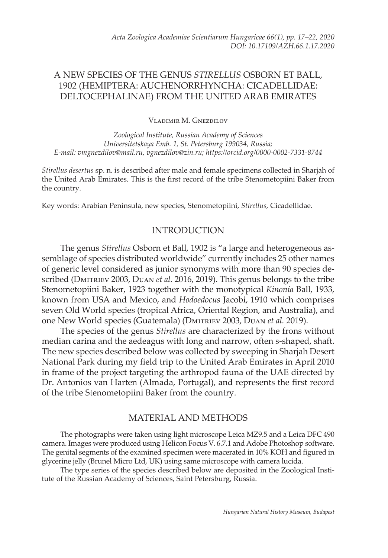# A NEW SPECIES OF THE GENUS *STIRELLUS* OSBORN ET BALL, 1902 (HEMIPTERA: AUCHENORRHYNCHA: CICADELLIDAE: DELTOCEPHALINAE) FROM THE UNITED ARAB EMIRATES

### Vladimir M. Gnezdilov

*Zoological Institute, Russian Academy of Sciences Universitetskaya Emb. 1, St. Petersburg 199034, Russia; E-mail: vmgnezdilov@mail.ru, vgnezdilov@zin.ru; https://orcid.org/0000-0002-7331-8744*

*Stirellus desertus* sp. n. is described after male and female specimens collected in Sharjah of the United Arab Emirates. This is the first record of the tribe Stenometopiini Baker from the country.

Key words: Arabian Peninsula, new species, Stenometopiini, *Stirellus,* Cicadellidae.

# INTRODUCTION

The genus *Stirellus* Osborn et Ball, 1902 is "a large and heterogeneous assemblage of species distributed worldwide" currently includes 25 other names of generic level considered as junior synonyms with more than 90 species described (Dmitriev 2003, Duan *et al.* 2016, 2019). This genus belongs to the tribe Stenometopiini Baker, 1923 together with the monotypical *Kinonia* Ball, 1933, known from USA and Mexico, and *Hodoedocus* Jacobi, 1910 which comprises seven Old World species (tropical Africa, Oriental Region, and Australia), and one New World species (Guatemala) (Dmitriev 2003, Duan *et al.* 2019).

The species of the genus *Stirellus* are characterized by the frons without median carina and the aedeagus with long and narrow, often s-shaped, shaft. The new species described below was collected by sweeping in Sharjah Desert National Park during my field trip to the United Arab Emirates in April 2010 in frame of the project targeting the arthropod fauna of the UAE directed by Dr. Antonios van Harten (Almada, Portugal), and represents the first record of the tribe Stenometopiini Baker from the country.

## MATERIAL AND METHODS

The photographs were taken using light microscope Leica MZ9.5 and a Leica DFC 490 camera. Images were produced using Helicon Focus V. 6.7.1 and Adobe Photoshop software. The genital segments of the examined specimen were macerated in 10% KOH and figured in glycerine jelly (Brunel Micro Ltd, UK) using same microscope with camera lucida.

The type series of the species described below are deposited in the Zoological Institute of the Russian Academy of Sciences, Saint Petersburg, Russia.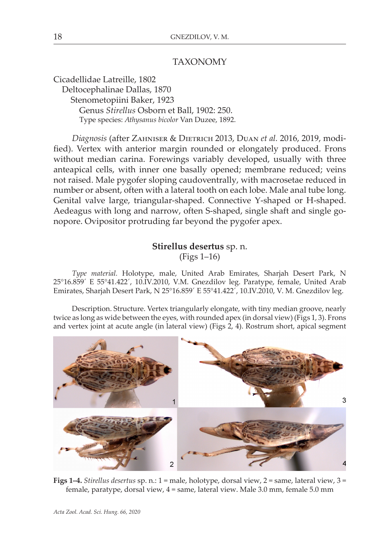#### **TAXONOMY**

Cicadellidae Latreille, 1802 Deltocephalinae Dallas, 1870 Stenometopiini Baker, 1923 Genus *Stirellus* Osborn et Ball, 1902: 250. Type species: *Athysanus bicolor* Van Duzee, 1892.

*Diagnosis* (after Zahniser & Dietrich 2013, Duan *et al.* 2016, 2019, modified). Vertex with anterior margin rounded or elongately produced. Frons without median carina. Forewings variably developed, usually with three anteapical cells, with inner one basally opened; membrane reduced; veins not raised. Male pygofer sloping caudoventrally, with macrosetae reduced in number or absent, often with a lateral tooth on each lobe. Male anal tube long. Genital valve large, triangular-shaped. Connective Y-shaped or H-shaped. Aedeagus with long and narrow, often S-shaped, single shaft and single gonopore. Ovipositor protruding far beyond the pygofer apex.

# **Stirellus desertus** sp. n. (Figs 1–16)

*Type material.* Holotype, male, United Arab Emirates, Sharjah Desert Park, N 25°16.859´ E 55°41.422´, 10.IV.2010, V.M. Gnezdilov leg. Paratype, female, United Arab Emirates, Sharjah Desert Park, N 25°16.859´ E 55°41.422´, 10.IV.2010, V. M. Gnezdilov leg.

Description. Structure. Vertex triangularly elongate, with tiny median groove, nearly twice as long as wide between the eyes, with rounded apex (in dorsal view) (Figs 1, 3). Frons and vertex joint at acute angle (in lateral view) (Figs 2, 4). Rostrum short, apical segment



**Figs 1–4.** *Stirellus desertus* sp. n.: 1 = male, holotype, dorsal view, 2 = same, lateral view, 3 = female, paratype, dorsal view, 4 = same, lateral view. Male 3.0 mm, female 5.0 mm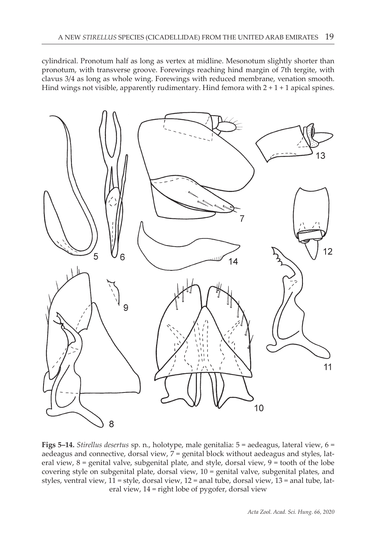cylindrical. Pronotum half as long as vertex at midline. Mesonotum slightly shorter than pronotum, with transverse groove. Forewings reaching hind margin of 7th tergite, with clavus 3/4 as long as whole wing. Forewings with reduced membrane, venation smooth. Hind wings not visible, apparently rudimentary. Hind femora with  $2 + 1 + 1$  apical spines.



**Figs 5–14.** *Stirellus desertus* sp. n., holotype, male genitalia: 5 = aedeagus, lateral view, 6 = aedeagus and connective, dorsal view, 7 = genital block without aedeagus and styles, lateral view, 8 = genital valve, subgenital plate, and style, dorsal view, 9 = tooth of the lobe covering style on subgenital plate, dorsal view, 10 = genital valve, subgenital plates, and styles, ventral view, 11 = style, dorsal view, 12 = anal tube, dorsal view, 13 = anal tube, lateral view, 14 = right lobe of pygofer, dorsal view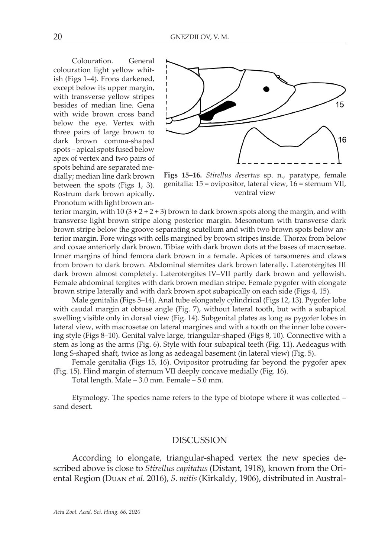Colouration. General colouration light yellow whitish (Figs 1–4). Frons darkened, except below its upper margin, with transverse yellow stripes besides of median line. Gena with wide brown cross band below the eye. Vertex with three pairs of large brown to dark brown comma-shaped spots – apical spots fused below apex of vertex and two pairs of spots behind are separated medially; median line dark brown between the spots (Figs 1, 3). Rostrum dark brown apically. Pronotum with light brown an-



**Figs 15–16.** *Stirellus desertus* sp. n., paratype, female genitalia: 15 = ovipositor, lateral view, 16 = sternum VII, ventral view

terior margin, with 10  $(3 + 2 + 2 + 3)$  brown to dark brown spots along the margin, and with transverse light brown stripe along posterior margin. Mesonotum with transverse dark brown stripe below the groove separating scutellum and with two brown spots below anterior margin. Fore wings with cells margined by brown stripes inside. Thorax from below and coxae anteriorly dark brown. Tibiae with dark brown dots at the bases of macrosetae. Inner margins of hind femora dark brown in a female. Apices of tarsomeres and claws from brown to dark brown. Abdominal sternites dark brown laterally. Laterotergites III dark brown almost completely. Laterotergites IV–VII partly dark brown and yellowish. Female abdominal tergites with dark brown median stripe. Female pygofer with elongate brown stripe laterally and with dark brown spot subapically on each side (Figs 4, 15).

Male genitalia (Figs 5–14). Anal tube elongately cylindrical (Figs 12, 13). Pygofer lobe with caudal margin at obtuse angle (Fig. 7), without lateral tooth, but with a subapical swelling visible only in dorsal view (Fig. 14). Subgenital plates as long as pygofer lobes in lateral view, with macrosetae on lateral margines and with a tooth on the inner lobe covering style (Figs 8–10). Genital valve large, triangular-shaped (Figs 8, 10). Connective with a stem as long as the arms (Fig. 6). Style with four subapical teeth (Fig. 11). Aedeagus with long S-shaped shaft, twice as long as aedeagal basement (in lateral view) (Fig. 5).

Female genitalia (Figs 15, 16). Ovipositor protruding far beyond the pygofer apex (Fig. 15). Hind margin of sternum VII deeply concave medially (Fig. 16).

Total length. Male – 3.0 mm. Female – 5.0 mm.

Etymology. The species name refers to the type of biotope where it was collected – sand desert.

#### DISCUSSION

According to elongate, triangular-shaped vertex the new species described above is close to *Stirellus capitatus* (Distant, 1918), known from the Oriental Region (Duan *et al.* 2016), *S. mitis* (Kirkaldy, 1906), distributed in Austral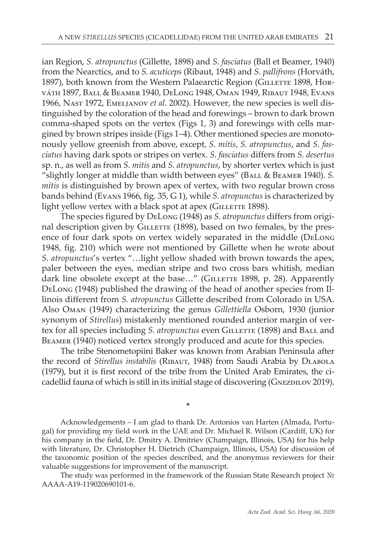ian Region, *S. atropunctus* (Gillette, 1898) and *S. fasciatus* (Ball et Beamer, 1940) from the Nearctics, and to *S. acuticeps* (Ribaut, 1948) and *S. pallifrons* (Horváth, 1897), both known from the Western Palaearctic Region (GILLETTE 1898, Horváth 1897, Ball & Beamer 1940, DeLong 1948, Oman 1949, Ribaut 1948, Evans 1966, Nast 1972, Emeljanov *et al.* 2002). However, the new species is well distinguished by the coloration of the head and forewings – brown to dark brown comma-shaped spots on the vertex (Figs 1, 3) and forewings with cells margined by brown stripes inside (Figs 1–4). Other mentioned species are monotonously yellow greenish from above, except, *S. mitis*, *S. atropunctus*, and *S. fasciatus* having dark spots or stripes on vertex. *S. fasciatus* differs from *S. desertus* sp. n., as well as from *S. mitis* and *S. atropunctus*, by shorter vertex which is just "slightly longer at middle than width between eyes" (BALL & BEAMER 1940). S. *mitis* is distinguished by brown apex of vertex, with two regular brown cross bands behind (Evans 1966, fig. 35, G 1), while *S. atropunctus* is characterized by light yellow vertex with a black spot at apex (GILLETTE 1898).

The species figured by DeLong (1948) as *S. atropunctus* differs from original description given by GILLETTE (1898), based on two females, by the presence of four dark spots on vertex widely separated in the middle (DeLong 1948, fig. 210) which were not mentioned by Gillette when he wrote about *S. atropunctus*'s vertex "…light yellow shaded with brown towards the apex, paler between the eyes, median stripe and two cross bars whitish, median dark line obsolete except at the base..." (GILLETTE 1898, p. 28). Apparently DeLong (1948) published the drawing of the head of another species from Illinois different from *S. atropunctus* Gillette described from Colorado in USA. Also Oman (1949) characterizing the genus *Gillettiella* Osborn, 1930 (junior synonym of *Stirellus*) mistakenly mentioned rounded anterior margin of vertex for all species including *S. atropunctus* even GILLETTE (1898) and BALL and Beamer (1940) noticed vertex strongly produced and acute for this species.

The tribe Stenometopiini Baker was known from Arabian Peninsula after the record of *Stirellus instabilis* (Ribaut, 1948) from Saudi Arabia by Dlabola (1979), but it is first record of the tribe from the United Arab Emirates, the cicadellid fauna of which is still in its initial stage of discovering (GNEZDILOV 2019).

**\***

Acknowledgements – I am glad to thank Dr. Antonios van Harten (Almada, Portugal) for providing my field work in the UAE and Dr. Michael R. Wilson (Cardiff, UK) for his company in the field, Dr. Dmitry A. Dmitriev (Champaign, Illinois, USA) for his help with literature, Dr. Christopher H. Dietrich (Champaign, Illinois, USA) for discussion of the taxonomic position of the species described, and the anonymus reviewers for their valuable suggestions for improvement of the manuscript.

The study was performed in the framework of the Russian State Research project № АААА-А19-119020690101-6.